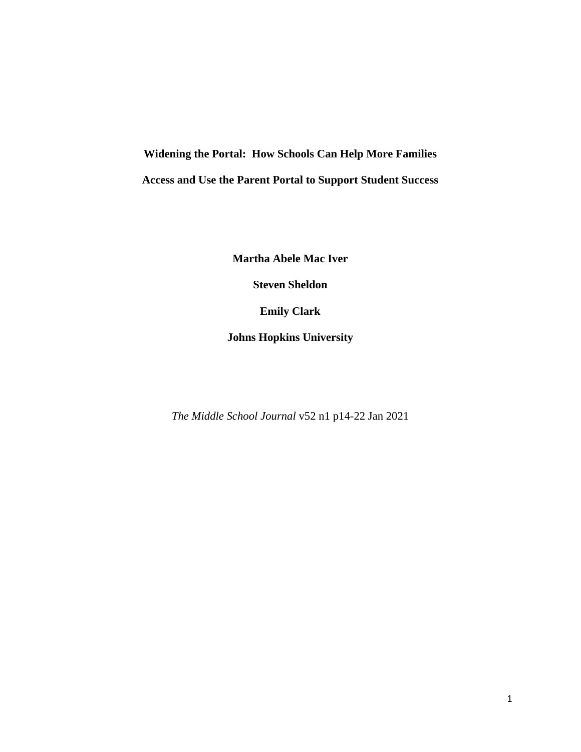**Widening the Portal: How Schools Can Help More Families Access and Use the Parent Portal to Support Student Success**

**Martha Abele Mac Iver**

**Steven Sheldon**

**Emily Clark**

**Johns Hopkins University**

*The Middle School Journal* v52 n1 p14-22 Jan 2021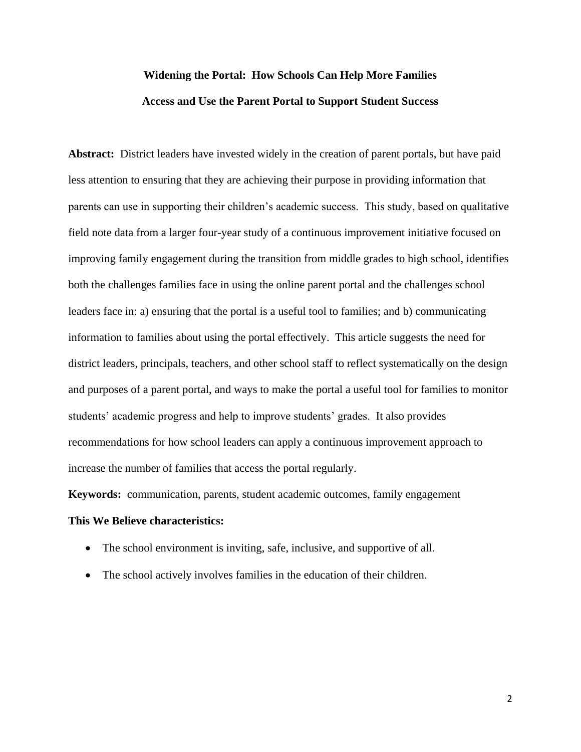# **Widening the Portal: How Schools Can Help More Families Access and Use the Parent Portal to Support Student Success**

**Abstract:** District leaders have invested widely in the creation of parent portals, but have paid less attention to ensuring that they are achieving their purpose in providing information that parents can use in supporting their children's academic success. This study, based on qualitative field note data from a larger four-year study of a continuous improvement initiative focused on improving family engagement during the transition from middle grades to high school, identifies both the challenges families face in using the online parent portal and the challenges school leaders face in: a) ensuring that the portal is a useful tool to families; and b) communicating information to families about using the portal effectively. This article suggests the need for district leaders, principals, teachers, and other school staff to reflect systematically on the design and purposes of a parent portal, and ways to make the portal a useful tool for families to monitor students' academic progress and help to improve students' grades. It also provides recommendations for how school leaders can apply a continuous improvement approach to increase the number of families that access the portal regularly.

**Keywords:** communication, parents, student academic outcomes, family engagement

# **This We Believe characteristics:**

- The school environment is inviting, safe, inclusive, and supportive of all.
- The school actively involves families in the education of their children.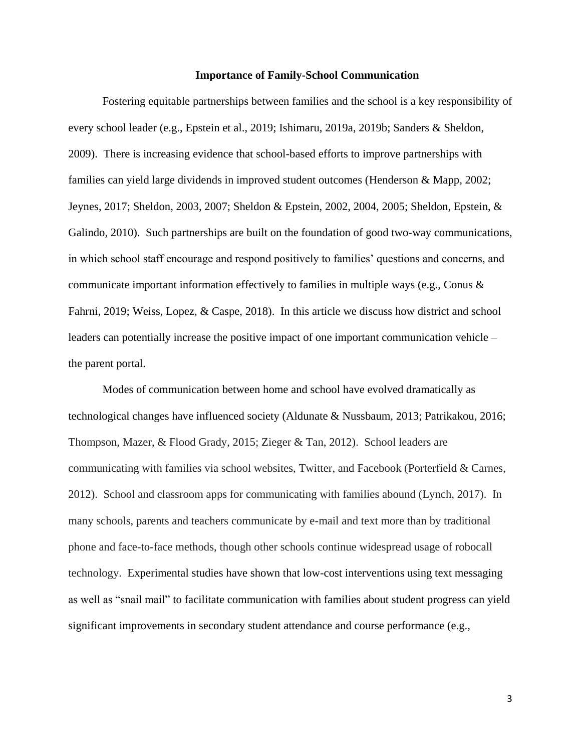#### **Importance of Family-School Communication**

Fostering equitable partnerships between families and the school is a key responsibility of every school leader (e.g., Epstein et al., 2019; Ishimaru, 2019a, 2019b; Sanders & Sheldon, 2009). There is increasing evidence that school-based efforts to improve partnerships with families can yield large dividends in improved student outcomes (Henderson & Mapp, 2002; Jeynes, 2017; Sheldon, 2003, 2007; Sheldon & Epstein, 2002, 2004, 2005; Sheldon, Epstein, & Galindo, 2010). Such partnerships are built on the foundation of good two-way communications, in which school staff encourage and respond positively to families' questions and concerns, and communicate important information effectively to families in multiple ways (e.g., Conus & Fahrni, 2019; Weiss, Lopez, & Caspe, 2018). In this article we discuss how district and school leaders can potentially increase the positive impact of one important communication vehicle – the parent portal.

Modes of communication between home and school have evolved dramatically as technological changes have influenced society (Aldunate & Nussbaum, 2013; Patrikakou, 2016; Thompson, Mazer, & Flood Grady, 2015; Zieger & Tan, 2012). School leaders are communicating with families via school websites, Twitter, and Facebook (Porterfield & Carnes, 2012). School and classroom apps for communicating with families abound (Lynch, 2017). In many schools, parents and teachers communicate by e-mail and text more than by traditional phone and face-to-face methods, though other schools continue widespread usage of robocall technology. Experimental studies have shown that low-cost interventions using text messaging as well as "snail mail" to facilitate communication with families about student progress can yield significant improvements in secondary student attendance and course performance (e.g.,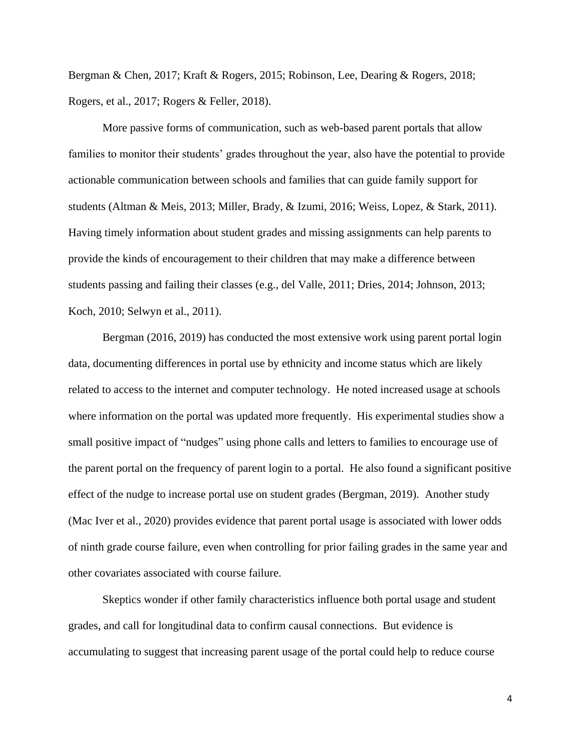Bergman & Chen, 2017; Kraft & Rogers, 2015; Robinson, Lee, Dearing & Rogers, 2018; Rogers, et al., 2017; Rogers & Feller, 2018).

More passive forms of communication, such as web-based parent portals that allow families to monitor their students' grades throughout the year, also have the potential to provide actionable communication between schools and families that can guide family support for students (Altman & Meis, 2013; Miller, Brady, & Izumi, 2016; Weiss, Lopez, & Stark, 2011). Having timely information about student grades and missing assignments can help parents to provide the kinds of encouragement to their children that may make a difference between students passing and failing their classes (e.g., del Valle, 2011; Dries, 2014; Johnson, 2013; Koch, 2010; Selwyn et al., 2011).

Bergman (2016, 2019) has conducted the most extensive work using parent portal login data, documenting differences in portal use by ethnicity and income status which are likely related to access to the internet and computer technology. He noted increased usage at schools where information on the portal was updated more frequently. His experimental studies show a small positive impact of "nudges" using phone calls and letters to families to encourage use of the parent portal on the frequency of parent login to a portal. He also found a significant positive effect of the nudge to increase portal use on student grades (Bergman, 2019). Another study (Mac Iver et al., 2020) provides evidence that parent portal usage is associated with lower odds of ninth grade course failure, even when controlling for prior failing grades in the same year and other covariates associated with course failure.

Skeptics wonder if other family characteristics influence both portal usage and student grades, and call for longitudinal data to confirm causal connections. But evidence is accumulating to suggest that increasing parent usage of the portal could help to reduce course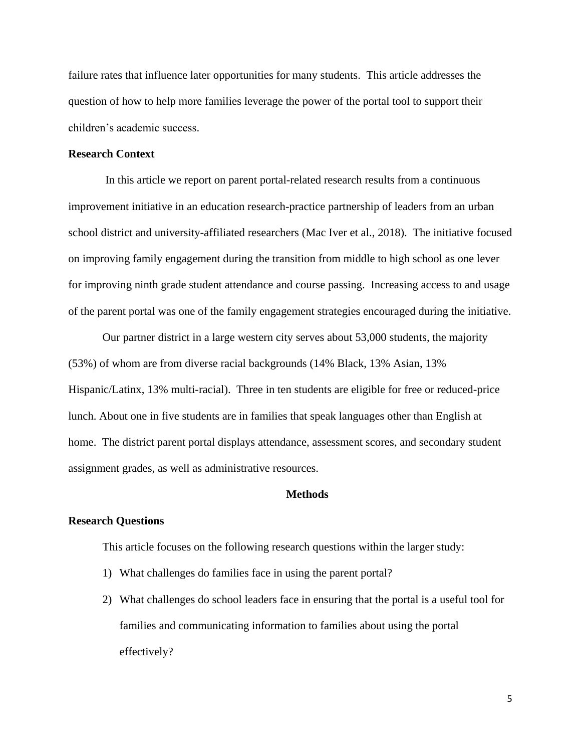failure rates that influence later opportunities for many students. This article addresses the question of how to help more families leverage the power of the portal tool to support their children's academic success.

## **Research Context**

In this article we report on parent portal-related research results from a continuous improvement initiative in an education research-practice partnership of leaders from an urban school district and university-affiliated researchers (Mac Iver et al., 2018). The initiative focused on improving family engagement during the transition from middle to high school as one lever for improving ninth grade student attendance and course passing. Increasing access to and usage of the parent portal was one of the family engagement strategies encouraged during the initiative.

Our partner district in a large western city serves about 53,000 students, the majority (53%) of whom are from diverse racial backgrounds (14% Black, 13% Asian, 13% Hispanic/Latinx, 13% multi-racial). Three in ten students are eligible for free or reduced-price lunch. About one in five students are in families that speak languages other than English at home. The district parent portal displays attendance, assessment scores, and secondary student assignment grades, as well as administrative resources.

#### **Methods**

#### **Research Questions**

This article focuses on the following research questions within the larger study:

- 1) What challenges do families face in using the parent portal?
- 2) What challenges do school leaders face in ensuring that the portal is a useful tool for families and communicating information to families about using the portal effectively?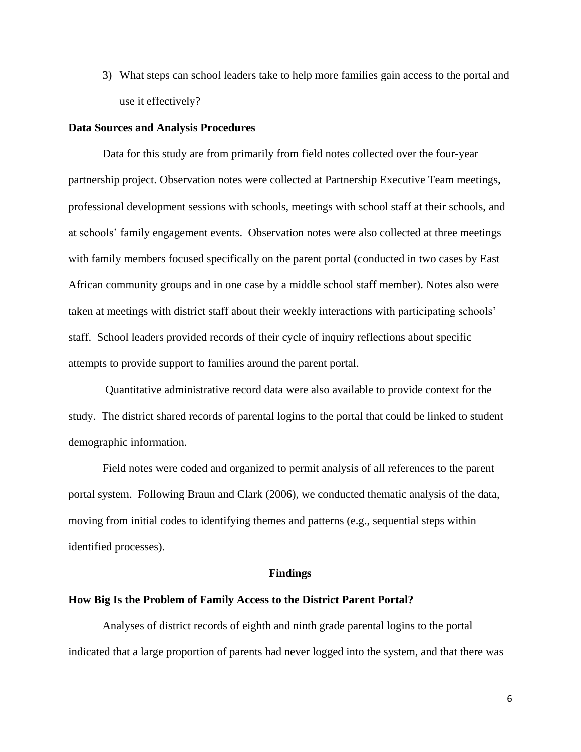3) What steps can school leaders take to help more families gain access to the portal and use it effectively?

### **Data Sources and Analysis Procedures**

Data for this study are from primarily from field notes collected over the four-year partnership project. Observation notes were collected at Partnership Executive Team meetings, professional development sessions with schools, meetings with school staff at their schools, and at schools' family engagement events. Observation notes were also collected at three meetings with family members focused specifically on the parent portal (conducted in two cases by East African community groups and in one case by a middle school staff member). Notes also were taken at meetings with district staff about their weekly interactions with participating schools' staff. School leaders provided records of their cycle of inquiry reflections about specific attempts to provide support to families around the parent portal.

Quantitative administrative record data were also available to provide context for the study. The district shared records of parental logins to the portal that could be linked to student demographic information.

Field notes were coded and organized to permit analysis of all references to the parent portal system. Following Braun and Clark (2006), we conducted thematic analysis of the data, moving from initial codes to identifying themes and patterns (e.g., sequential steps within identified processes).

#### **Findings**

#### **How Big Is the Problem of Family Access to the District Parent Portal?**

Analyses of district records of eighth and ninth grade parental logins to the portal indicated that a large proportion of parents had never logged into the system, and that there was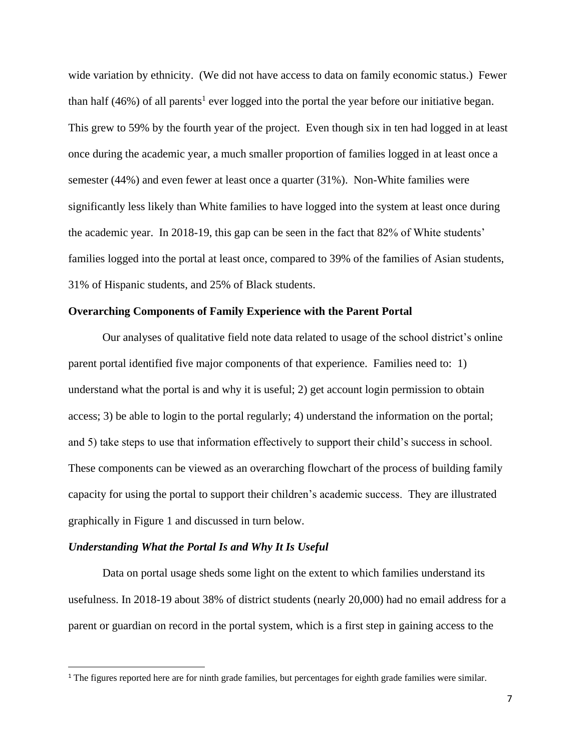wide variation by ethnicity. (We did not have access to data on family economic status.) Fewer than half  $(46%)$  of all parents<sup>1</sup> ever logged into the portal the year before our initiative began. This grew to 59% by the fourth year of the project. Even though six in ten had logged in at least once during the academic year, a much smaller proportion of families logged in at least once a semester (44%) and even fewer at least once a quarter (31%). Non-White families were significantly less likely than White families to have logged into the system at least once during the academic year. In 2018-19, this gap can be seen in the fact that 82% of White students' families logged into the portal at least once, compared to 39% of the families of Asian students, 31% of Hispanic students, and 25% of Black students.

#### **Overarching Components of Family Experience with the Parent Portal**

Our analyses of qualitative field note data related to usage of the school district's online parent portal identified five major components of that experience. Families need to: 1) understand what the portal is and why it is useful; 2) get account login permission to obtain access; 3) be able to login to the portal regularly; 4) understand the information on the portal; and 5) take steps to use that information effectively to support their child's success in school. These components can be viewed as an overarching flowchart of the process of building family capacity for using the portal to support their children's academic success. They are illustrated graphically in Figure 1 and discussed in turn below.

#### *Understanding What the Portal Is and Why It Is Useful*

 $\overline{a}$ 

Data on portal usage sheds some light on the extent to which families understand its usefulness. In 2018-19 about 38% of district students (nearly 20,000) had no email address for a parent or guardian on record in the portal system, which is a first step in gaining access to the

<sup>&</sup>lt;sup>1</sup> The figures reported here are for ninth grade families, but percentages for eighth grade families were similar.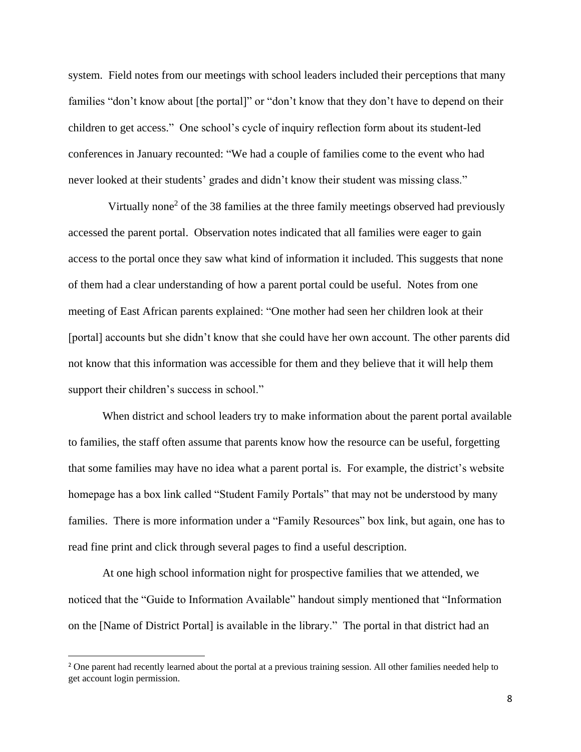system. Field notes from our meetings with school leaders included their perceptions that many families "don't know about [the portal]" or "don't know that they don't have to depend on their children to get access." One school's cycle of inquiry reflection form about its student-led conferences in January recounted: "We had a couple of families come to the event who had never looked at their students' grades and didn't know their student was missing class."

Virtually none<sup>2</sup> of the 38 families at the three family meetings observed had previously accessed the parent portal. Observation notes indicated that all families were eager to gain access to the portal once they saw what kind of information it included. This suggests that none of them had a clear understanding of how a parent portal could be useful. Notes from one meeting of East African parents explained: "One mother had seen her children look at their [portal] accounts but she didn't know that she could have her own account. The other parents did not know that this information was accessible for them and they believe that it will help them support their children's success in school."

When district and school leaders try to make information about the parent portal available to families, the staff often assume that parents know how the resource can be useful, forgetting that some families may have no idea what a parent portal is. For example, the district's website homepage has a box link called "Student Family Portals" that may not be understood by many families. There is more information under a "Family Resources" box link, but again, one has to read fine print and click through several pages to find a useful description.

At one high school information night for prospective families that we attended, we noticed that the "Guide to Information Available" handout simply mentioned that "Information on the [Name of District Portal] is available in the library." The portal in that district had an

 $\overline{\phantom{a}}$ 

<sup>&</sup>lt;sup>2</sup> One parent had recently learned about the portal at a previous training session. All other families needed help to get account login permission.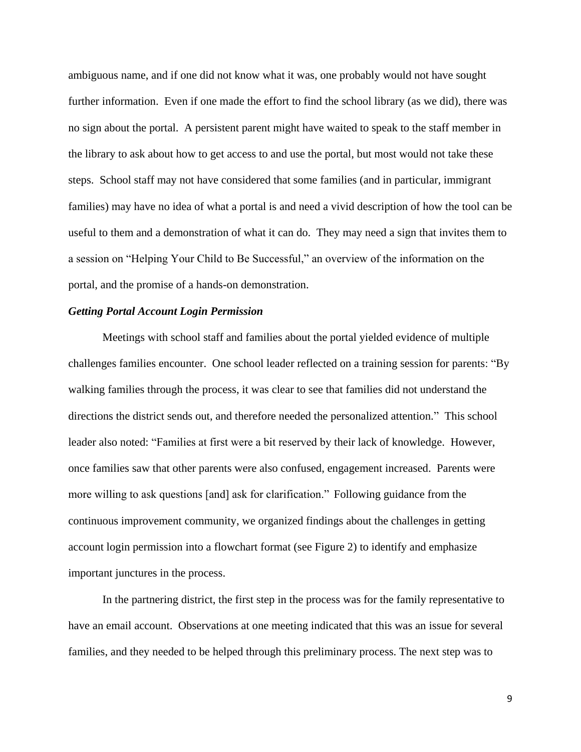ambiguous name, and if one did not know what it was, one probably would not have sought further information. Even if one made the effort to find the school library (as we did), there was no sign about the portal. A persistent parent might have waited to speak to the staff member in the library to ask about how to get access to and use the portal, but most would not take these steps. School staff may not have considered that some families (and in particular, immigrant families) may have no idea of what a portal is and need a vivid description of how the tool can be useful to them and a demonstration of what it can do. They may need a sign that invites them to a session on "Helping Your Child to Be Successful," an overview of the information on the portal, and the promise of a hands-on demonstration.

### *Getting Portal Account Login Permission*

Meetings with school staff and families about the portal yielded evidence of multiple challenges families encounter. One school leader reflected on a training session for parents: "By walking families through the process, it was clear to see that families did not understand the directions the district sends out, and therefore needed the personalized attention."This school leader also noted: "Families at first were a bit reserved by their lack of knowledge. However, once families saw that other parents were also confused, engagement increased. Parents were more willing to ask questions [and] ask for clarification."Following guidance from the continuous improvement community, we organized findings about the challenges in getting account login permission into a flowchart format (see Figure 2) to identify and emphasize important junctures in the process.

In the partnering district, the first step in the process was for the family representative to have an email account. Observations at one meeting indicated that this was an issue for several families, and they needed to be helped through this preliminary process. The next step was to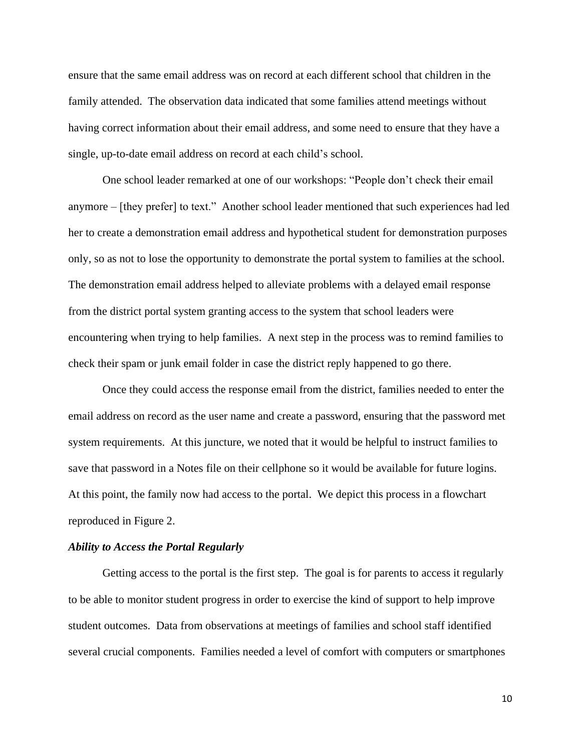ensure that the same email address was on record at each different school that children in the family attended. The observation data indicated that some families attend meetings without having correct information about their email address, and some need to ensure that they have a single, up-to-date email address on record at each child's school.

One school leader remarked at one of our workshops: "People don't check their email anymore – [they prefer] to text." Another school leader mentioned that such experiences had led her to create a demonstration email address and hypothetical student for demonstration purposes only, so as not to lose the opportunity to demonstrate the portal system to families at the school. The demonstration email address helped to alleviate problems with a delayed email response from the district portal system granting access to the system that school leaders were encountering when trying to help families. A next step in the process was to remind families to check their spam or junk email folder in case the district reply happened to go there.

Once they could access the response email from the district, families needed to enter the email address on record as the user name and create a password, ensuring that the password met system requirements. At this juncture, we noted that it would be helpful to instruct families to save that password in a Notes file on their cellphone so it would be available for future logins. At this point, the family now had access to the portal. We depict this process in a flowchart reproduced in Figure 2.

#### *Ability to Access the Portal Regularly*

Getting access to the portal is the first step. The goal is for parents to access it regularly to be able to monitor student progress in order to exercise the kind of support to help improve student outcomes. Data from observations at meetings of families and school staff identified several crucial components. Families needed a level of comfort with computers or smartphones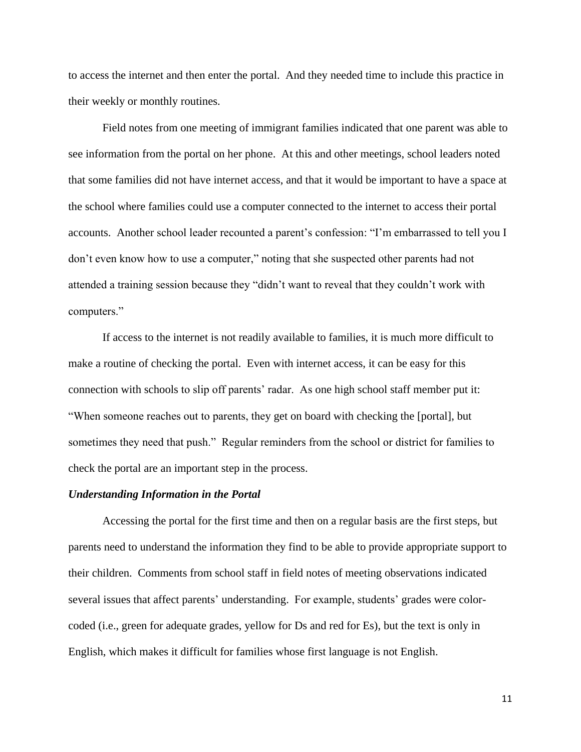to access the internet and then enter the portal. And they needed time to include this practice in their weekly or monthly routines.

Field notes from one meeting of immigrant families indicated that one parent was able to see information from the portal on her phone. At this and other meetings, school leaders noted that some families did not have internet access, and that it would be important to have a space at the school where families could use a computer connected to the internet to access their portal accounts. Another school leader recounted a parent's confession: "I'm embarrassed to tell you I don't even know how to use a computer," noting that she suspected other parents had not attended a training session because they "didn't want to reveal that they couldn't work with computers."

If access to the internet is not readily available to families, it is much more difficult to make a routine of checking the portal. Even with internet access, it can be easy for this connection with schools to slip off parents' radar. As one high school staff member put it: "When someone reaches out to parents, they get on board with checking the [portal], but sometimes they need that push." Regular reminders from the school or district for families to check the portal are an important step in the process.

# *Understanding Information in the Portal*

Accessing the portal for the first time and then on a regular basis are the first steps, but parents need to understand the information they find to be able to provide appropriate support to their children. Comments from school staff in field notes of meeting observations indicated several issues that affect parents' understanding. For example, students' grades were colorcoded (i.e., green for adequate grades, yellow for Ds and red for Es), but the text is only in English, which makes it difficult for families whose first language is not English.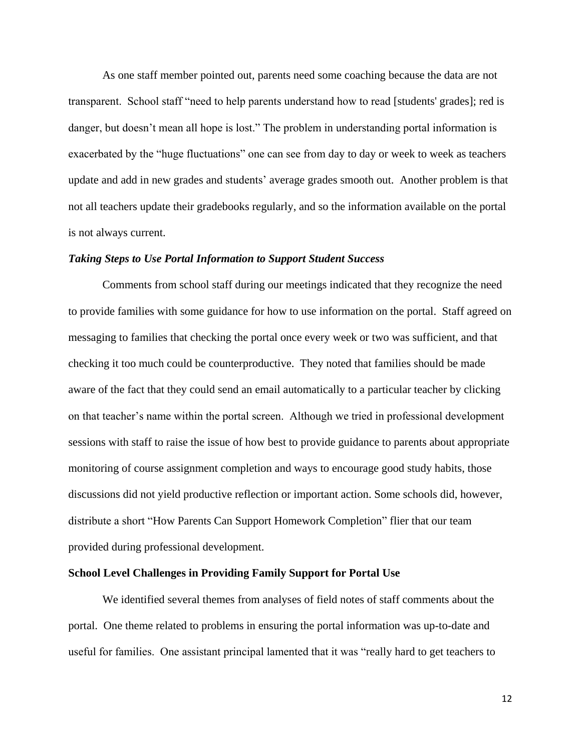As one staff member pointed out, parents need some coaching because the data are not transparent. School staff "need to help parents understand how to read [students' grades]; red is danger, but doesn't mean all hope is lost." The problem in understanding portal information is exacerbated by the "huge fluctuations" one can see from day to day or week to week as teachers update and add in new grades and students' average grades smooth out. Another problem is that not all teachers update their gradebooks regularly, and so the information available on the portal is not always current.

### *Taking Steps to Use Portal Information to Support Student Success*

Comments from school staff during our meetings indicated that they recognize the need to provide families with some guidance for how to use information on the portal. Staff agreed on messaging to families that checking the portal once every week or two was sufficient, and that checking it too much could be counterproductive. They noted that families should be made aware of the fact that they could send an email automatically to a particular teacher by clicking on that teacher's name within the portal screen. Although we tried in professional development sessions with staff to raise the issue of how best to provide guidance to parents about appropriate monitoring of course assignment completion and ways to encourage good study habits, those discussions did not yield productive reflection or important action. Some schools did, however, distribute a short "How Parents Can Support Homework Completion" flier that our team provided during professional development.

#### **School Level Challenges in Providing Family Support for Portal Use**

We identified several themes from analyses of field notes of staff comments about the portal. One theme related to problems in ensuring the portal information was up-to-date and useful for families. One assistant principal lamented that it was "really hard to get teachers to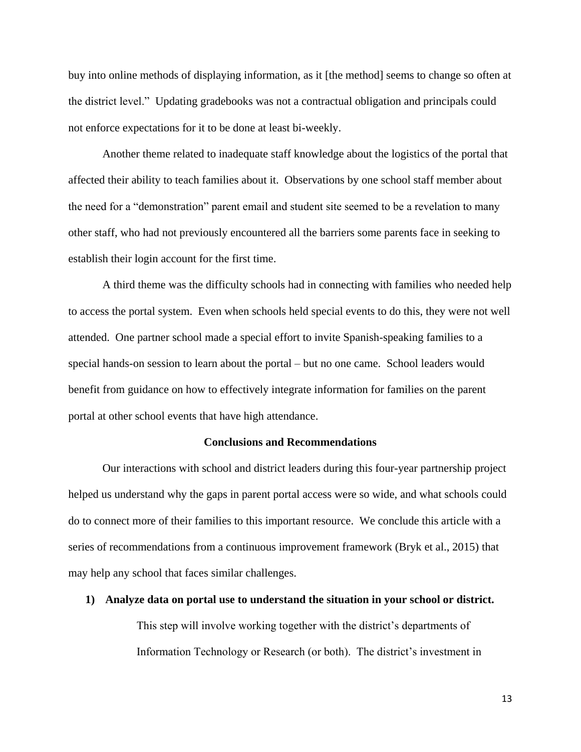buy into online methods of displaying information, as it [the method] seems to change so often at the district level."Updating gradebooks was not a contractual obligation and principals could not enforce expectations for it to be done at least bi-weekly.

Another theme related to inadequate staff knowledge about the logistics of the portal that affected their ability to teach families about it. Observations by one school staff member about the need for a "demonstration" parent email and student site seemed to be a revelation to many other staff, who had not previously encountered all the barriers some parents face in seeking to establish their login account for the first time.

A third theme was the difficulty schools had in connecting with families who needed help to access the portal system. Even when schools held special events to do this, they were not well attended. One partner school made a special effort to invite Spanish-speaking families to a special hands-on session to learn about the portal – but no one came. School leaders would benefit from guidance on how to effectively integrate information for families on the parent portal at other school events that have high attendance.

### **Conclusions and Recommendations**

Our interactions with school and district leaders during this four-year partnership project helped us understand why the gaps in parent portal access were so wide, and what schools could do to connect more of their families to this important resource. We conclude this article with a series of recommendations from a continuous improvement framework (Bryk et al., 2015) that may help any school that faces similar challenges.

#### **1) Analyze data on portal use to understand the situation in your school or district.**

This step will involve working together with the district's departments of Information Technology or Research (or both). The district's investment in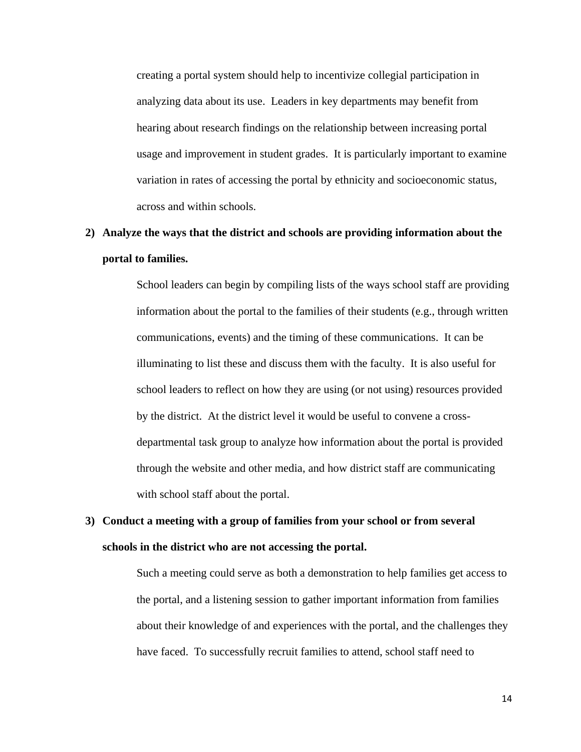creating a portal system should help to incentivize collegial participation in analyzing data about its use. Leaders in key departments may benefit from hearing about research findings on the relationship between increasing portal usage and improvement in student grades. It is particularly important to examine variation in rates of accessing the portal by ethnicity and socioeconomic status, across and within schools.

# **2) Analyze the ways that the district and schools are providing information about the portal to families.**

School leaders can begin by compiling lists of the ways school staff are providing information about the portal to the families of their students (e.g., through written communications, events) and the timing of these communications. It can be illuminating to list these and discuss them with the faculty. It is also useful for school leaders to reflect on how they are using (or not using) resources provided by the district. At the district level it would be useful to convene a crossdepartmental task group to analyze how information about the portal is provided through the website and other media, and how district staff are communicating with school staff about the portal.

# **3) Conduct a meeting with a group of families from your school or from several schools in the district who are not accessing the portal.**

Such a meeting could serve as both a demonstration to help families get access to the portal, and a listening session to gather important information from families about their knowledge of and experiences with the portal, and the challenges they have faced. To successfully recruit families to attend, school staff need to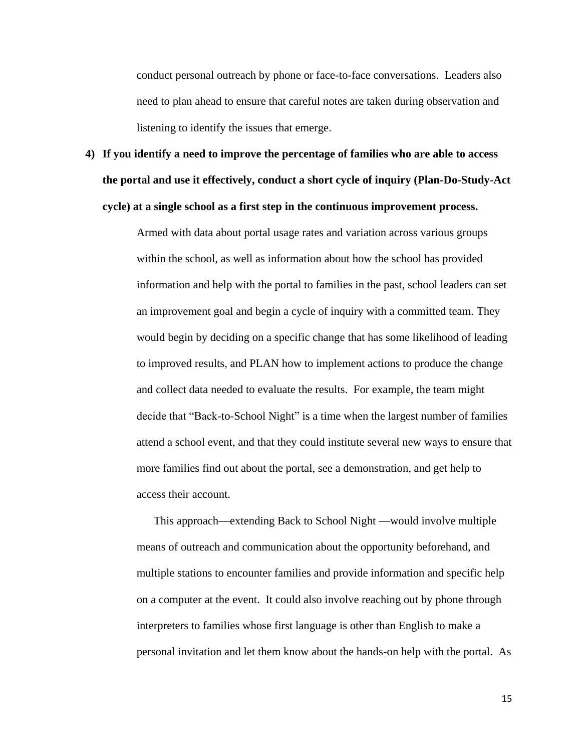conduct personal outreach by phone or face-to-face conversations. Leaders also need to plan ahead to ensure that careful notes are taken during observation and listening to identify the issues that emerge.

**4) If you identify a need to improve the percentage of families who are able to access the portal and use it effectively, conduct a short cycle of inquiry (Plan-Do-Study-Act cycle) at a single school as a first step in the continuous improvement process.** 

> Armed with data about portal usage rates and variation across various groups within the school, as well as information about how the school has provided information and help with the portal to families in the past, school leaders can set an improvement goal and begin a cycle of inquiry with a committed team. They would begin by deciding on a specific change that has some likelihood of leading to improved results, and PLAN how to implement actions to produce the change and collect data needed to evaluate the results. For example, the team might decide that "Back-to-School Night" is a time when the largest number of families attend a school event, and that they could institute several new ways to ensure that more families find out about the portal, see a demonstration, and get help to access their account.

> This approach—extending Back to School Night —would involve multiple means of outreach and communication about the opportunity beforehand, and multiple stations to encounter families and provide information and specific help on a computer at the event. It could also involve reaching out by phone through interpreters to families whose first language is other than English to make a personal invitation and let them know about the hands-on help with the portal. As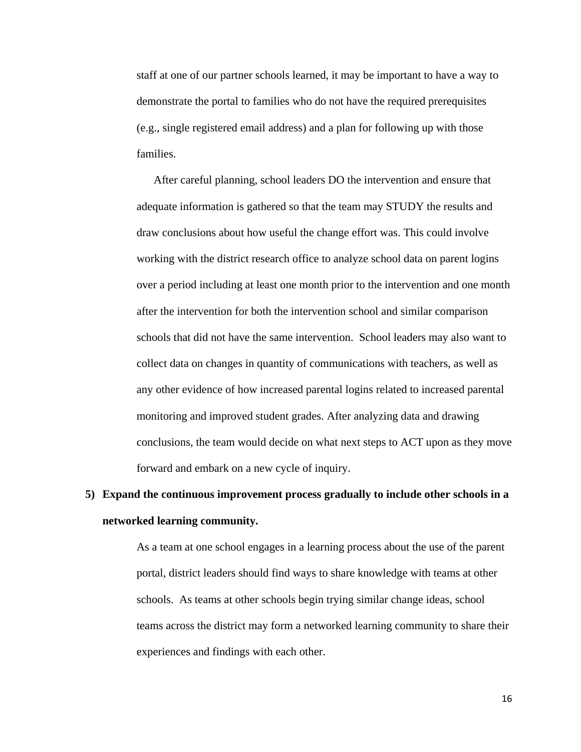staff at one of our partner schools learned, it may be important to have a way to demonstrate the portal to families who do not have the required prerequisites (e.g., single registered email address) and a plan for following up with those families.

After careful planning, school leaders DO the intervention and ensure that adequate information is gathered so that the team may STUDY the results and draw conclusions about how useful the change effort was. This could involve working with the district research office to analyze school data on parent logins over a period including at least one month prior to the intervention and one month after the intervention for both the intervention school and similar comparison schools that did not have the same intervention. School leaders may also want to collect data on changes in quantity of communications with teachers, as well as any other evidence of how increased parental logins related to increased parental monitoring and improved student grades. After analyzing data and drawing conclusions, the team would decide on what next steps to ACT upon as they move forward and embark on a new cycle of inquiry.

# **5) Expand the continuous improvement process gradually to include other schools in a networked learning community.**

As a team at one school engages in a learning process about the use of the parent portal, district leaders should find ways to share knowledge with teams at other schools. As teams at other schools begin trying similar change ideas, school teams across the district may form a networked learning community to share their experiences and findings with each other.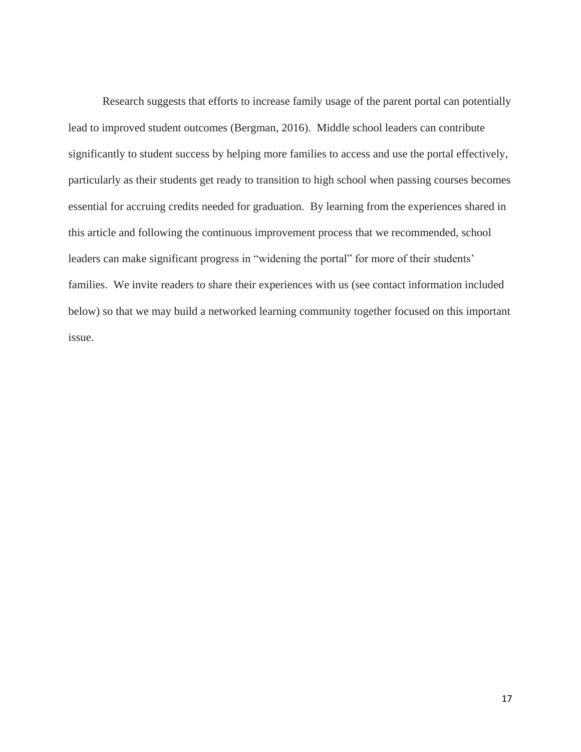Research suggests that efforts to increase family usage of the parent portal can potentially lead to improved student outcomes (Bergman, 2016). Middle school leaders can contribute significantly to student success by helping more families to access and use the portal effectively, particularly as their students get ready to transition to high school when passing courses becomes essential for accruing credits needed for graduation. By learning from the experiences shared in this article and following the continuous improvement process that we recommended, school leaders can make significant progress in "widening the portal" for more of their students' families. We invite readers to share their experiences with us (see contact information included below) so that we may build a networked learning community together focused on this important issue.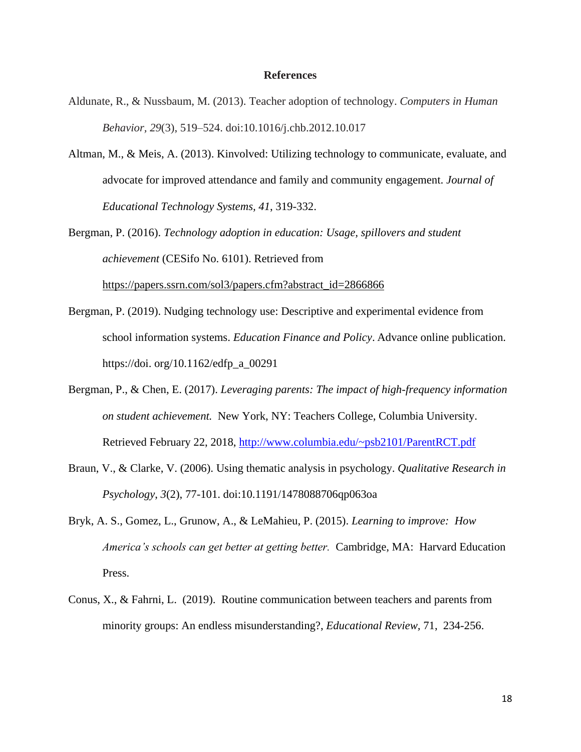### **References**

- Aldunate, R., & Nussbaum, M. (2013). Teacher adoption of technology. *Computers in Human Behavior, 29*(3), 519–524. doi:10.1016/j.chb.2012.10.017
- Altman, M., & Meis, A. (2013). Kinvolved: Utilizing technology to communicate, evaluate, and advocate for improved attendance and family and community engagement. *Journal of Educational Technology Systems, 41*, 319-332.

Bergman, P. (2016). *Technology adoption in education: Usage, spillovers and student achievement* (CESifo No. 6101). Retrieved from [https://papers.ssrn.com/sol3/papers.cfm?abstract\\_id=2866866](https://papers.ssrn.com/sol3/papers.cfm?abstract_id=2866866)

- Bergman, P. (2019). Nudging technology use: Descriptive and experimental evidence from school information systems. *Education Finance and Policy*. Advance online publication. https://doi. org/10.1162/edfp\_a\_00291
- Bergman, P., & Chen, E. (2017). *Leveraging parents: The impact of high-frequency information on student achievement.* New York, NY: Teachers College, Columbia University. Retrieved February 22, 2018,<http://www.columbia.edu/~psb2101/ParentRCT.pdf>
- Braun, V., & Clarke, V. (2006). Using thematic analysis in psychology. *Qualitative Research in Psychology*, *3*(2), 77-101. doi:10.1191/1478088706qp063oa
- Bryk, A. S., Gomez, L., Grunow, A., & LeMahieu, P. (2015). *Learning to improve: How America's schools can get better at getting better.* Cambridge, MA: Harvard Education Press.
- Conus, X., & Fahrni, L. (2019). Routine communication between teachers and parents from minority groups: An endless misunderstanding?, *Educational Review,* 71, 234-256.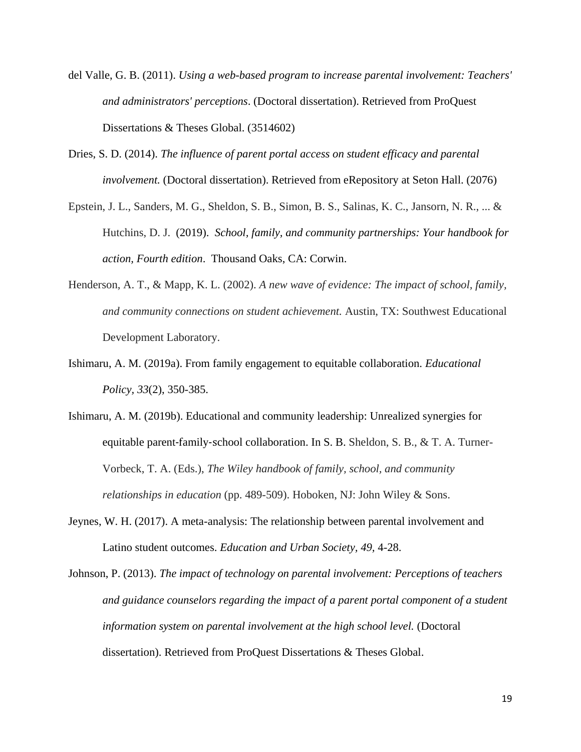- del Valle, G. B. (2011). *Using a web-based program to increase parental involvement: Teachers' and administrators' perceptions*. (Doctoral dissertation). Retrieved from ProQuest Dissertations & Theses Global. (3514602)
- Dries, S. D. (2014). *The influence of parent portal access on student efficacy and parental involvement.* (Doctoral dissertation). Retrieved from eRepository at Seton Hall. (2076)
- Epstein, J. L., Sanders, M. G., Sheldon, S. B., Simon, B. S., Salinas, K. C., Jansorn, N. R., ... & Hutchins, D. J. (2019). *School, family, and community partnerships: Your handbook for action, Fourth edition*. Thousand Oaks, CA: Corwin.
- Henderson, A. T., & Mapp, K. L. (2002). *A new wave of evidence: The impact of school, family, and community connections on student achievement.* Austin, TX: Southwest Educational Development Laboratory.
- Ishimaru, A. M. (2019a). From family engagement to equitable collaboration. *Educational Policy, 33*(2), 350-385.
- Ishimaru, A. M. (2019b). Educational and community leadership: Unrealized synergies for equitable parent‐family‐school collaboration. In S. B. Sheldon, S. B., & T. A. Turner-Vorbeck, T. A. (Eds.), *The Wiley handbook of family, school, and community relationships in education* (pp. 489-509). Hoboken, NJ: John Wiley & Sons.
- Jeynes, W. H. (2017). A meta-analysis: The relationship between parental involvement and Latino student outcomes. *Education and Urban Society, 49,* 4-28.

Johnson, P. (2013). *The impact of technology on parental involvement: Perceptions of teachers and guidance counselors regarding the impact of a parent portal component of a student information system on parental involvement at the high school level.* (Doctoral dissertation). Retrieved from ProQuest Dissertations & Theses Global.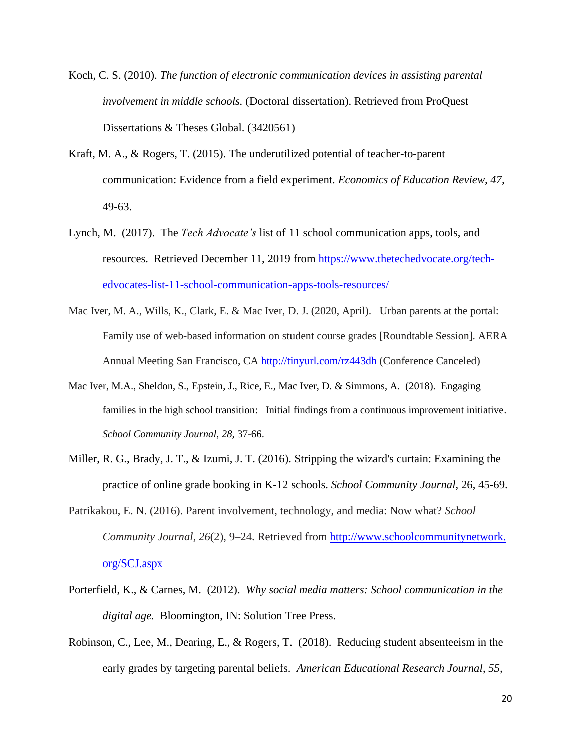- Koch, C. S. (2010). *The function of electronic communication devices in assisting parental involvement in middle schools.* (Doctoral dissertation). Retrieved from ProQuest Dissertations & Theses Global. (3420561)
- Kraft, M. A., & Rogers, T. (2015). The underutilized potential of teacher-to-parent communication: Evidence from a field experiment. *Economics of Education Review, 47,* 49-63.
- Lynch, M. (2017). The *Tech Advocate's* list of 11 school communication apps, tools, and resources. Retrieved December 11, 2019 from [https://www.thetechedvocate.org/tech](https://www.thetechedvocate.org/tech-edvocates-list-11-school-communication-apps-tools-resources/)[edvocates-list-11-school-communication-apps-tools-resources/](https://www.thetechedvocate.org/tech-edvocates-list-11-school-communication-apps-tools-resources/)
- Mac Iver, M. A., Wills, K., Clark, E. & Mac Iver, D. J. (2020, April). Urban parents at the portal: Family use of web-based information on student course grades [Roundtable Session]. AERA Annual Meeting San Francisco, CA <http://tinyurl.com/rz443dh> (Conference Canceled)
- Mac Iver, M.A., Sheldon, S., Epstein, J., Rice, E., Mac Iver, D. & Simmons, A. (2018). Engaging families in the high school transition: Initial findings from a continuous improvement initiative. *School Community Journal, 28,* 37-66.
- Miller, R. G., Brady, J. T., & Izumi, J. T. (2016). Stripping the wizard's curtain: Examining the practice of online grade booking in K-12 schools. *School Community Journal*, 26, 45-69.
- Patrikakou, E. N. (2016). Parent involvement, technology, and media: Now what? *School Community Journal, 26*(2), 9–24. Retrieved from http://www.schoolcommunitynetwork. org/SCJ.aspx
- Porterfield, K., & Carnes, M. (2012). *Why social media matters: School communication in the digital age.* Bloomington, IN: Solution Tree Press.
- Robinson, C., Lee, M., Dearing, E., & Rogers, T. (2018). Reducing student absenteeism in the early grades by targeting parental beliefs. *American Educational Research Journal*, *55,*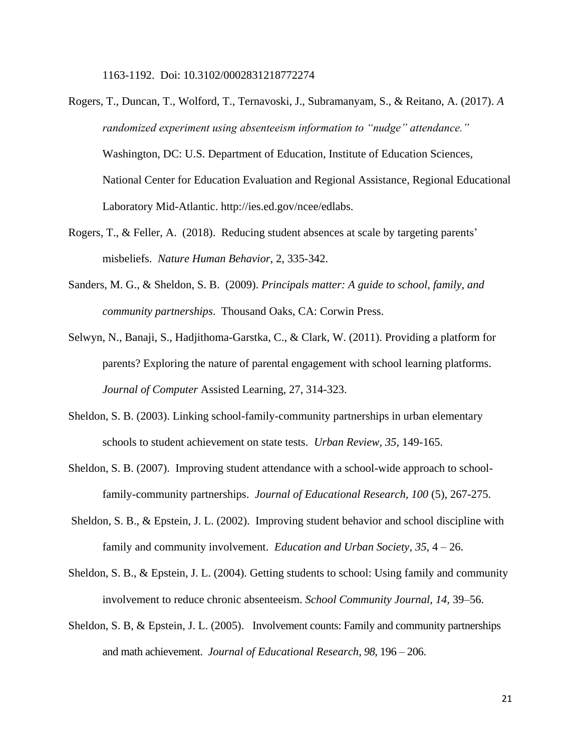1163-1192. Doi: 10.3102/0002831218772274

- Rogers, T., Duncan, T., Wolford, T., Ternavoski, J., Subramanyam, S., & Reitano, A. (2017). *A randomized experiment using absenteeism information to "nudge" attendance."* Washington, DC: U.S. Department of Education, Institute of Education Sciences, National Center for Education Evaluation and Regional Assistance, Regional Educational Laboratory Mid-Atlantic. http://ies.ed.gov/ncee/edlabs.
- Rogers, T., & Feller, A. (2018). Reducing student absences at scale by targeting parents' misbeliefs. *Nature Human Behavior*, 2, 335-342.
- Sanders, M. G., & Sheldon, S. B. (2009). *Principals matter: A guide to school, family, and community partnerships*. Thousand Oaks, CA: Corwin Press.
- Selwyn, N., Banaji, S., Hadjithoma-Garstka, C., & Clark, W. (2011). Providing a platform for parents? Exploring the nature of parental engagement with school learning platforms. *Journal of Computer* Assisted Learning, 27, 314-323.
- Sheldon, S. B. (2003). Linking school-family-community partnerships in urban elementary schools to student achievement on state tests. *Urban Review, 35*, 149-165.
- Sheldon, S. B. (2007). Improving student attendance with a school-wide approach to schoolfamily-community partnerships. *Journal of Educational Research, 100* (5), 267-275.
- Sheldon, S. B., & Epstein, J. L. (2002). Improving student behavior and school discipline with family and community involvement. *Education and Urban Society, 35*, 4 – 26.
- Sheldon, S. B., & Epstein, J. L. (2004). Getting students to school: Using family and community involvement to reduce chronic absenteeism. *School Community Journal, 14,* 39–56.
- Sheldon, S. B, & Epstein, J. L. (2005). Involvement counts: Family and community partnerships and math achievement. *Journal of Educational Research, 98*, 196 – 206.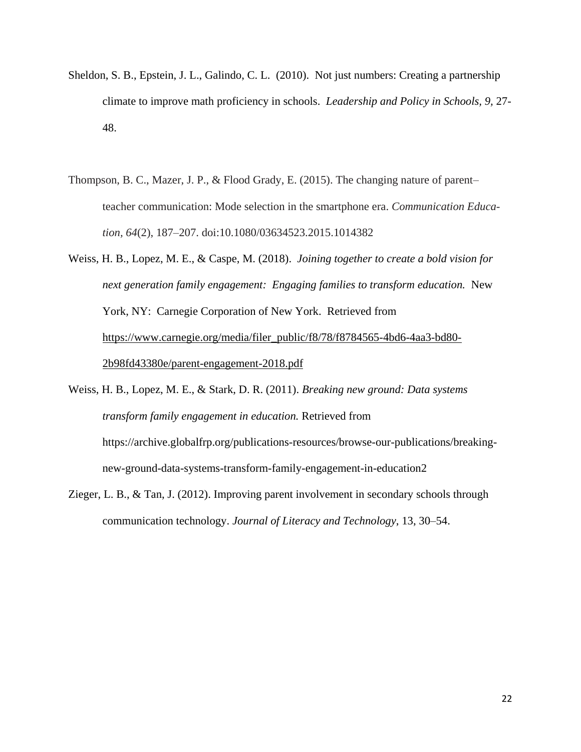- Sheldon, S. B., Epstein, J. L., Galindo, C. L. (2010). Not just numbers: Creating a partnership climate to improve math proficiency in schools. *Leadership and Policy in Schools, 9,* 27- 48.
- Thompson, B. C., Mazer, J. P., & Flood Grady, E. (2015). The changing nature of parent– teacher communication: Mode selection in the smartphone era. *Communication Education, 64*(2), 187–207. doi:10.1080/03634523.2015.1014382
- Weiss, H. B., Lopez, M. E., & Caspe, M. (2018). *Joining together to create a bold vision for next generation family engagement: Engaging families to transform education.* New York, NY: Carnegie Corporation of New York. Retrieved from [https://www.carnegie.org/media/filer\\_public/f8/78/f8784565-4bd6-4aa3-bd80-](https://www.carnegie.org/media/filer_public/f8/78/f8784565-4bd6-4aa3-bd80-2b98fd43380e/parent-engagement-2018.pdf) [2b98fd43380e/parent-engagement-2018.pdf](https://www.carnegie.org/media/filer_public/f8/78/f8784565-4bd6-4aa3-bd80-2b98fd43380e/parent-engagement-2018.pdf)

Weiss, H. B., Lopez, M. E., & Stark, D. R. (2011). *Breaking new ground: Data systems transform family engagement in education.* Retrieved from https://archive.globalfrp.org/publications-resources/browse-our-publications/breakingnew-ground-data-systems-transform-family-engagement-in-education2

Zieger, L. B., & Tan, J. (2012). Improving parent involvement in secondary schools through communication technology. *Journal of Literacy and Technology*, 13, 30–54.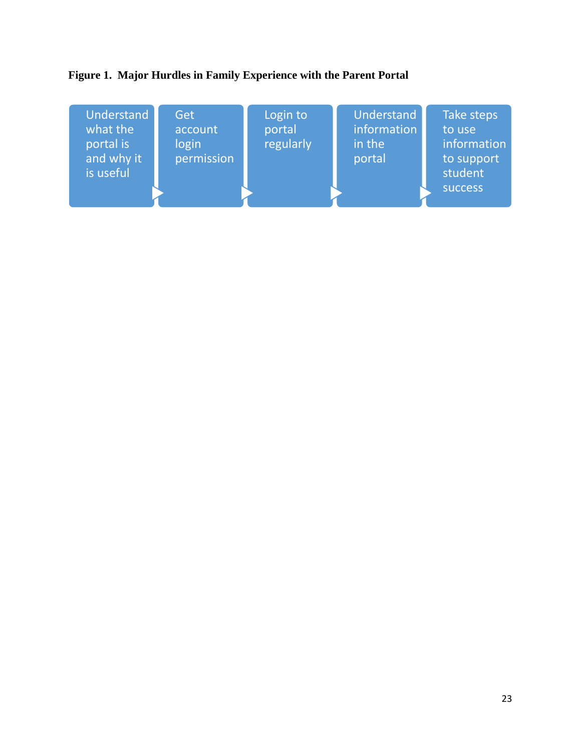# **Figure 1. Major Hurdles in Family Experience with the Parent Portal**

| Understand<br>what the<br>portal is<br>and why it<br>is useful | Get<br>account<br>login<br>permission | Login to<br>portal<br>regularly | Understand<br>information<br>in the<br>portal | Take steps<br>to use<br>information<br>to support<br>student<br><b>SUCCESS</b> |
|----------------------------------------------------------------|---------------------------------------|---------------------------------|-----------------------------------------------|--------------------------------------------------------------------------------|
|----------------------------------------------------------------|---------------------------------------|---------------------------------|-----------------------------------------------|--------------------------------------------------------------------------------|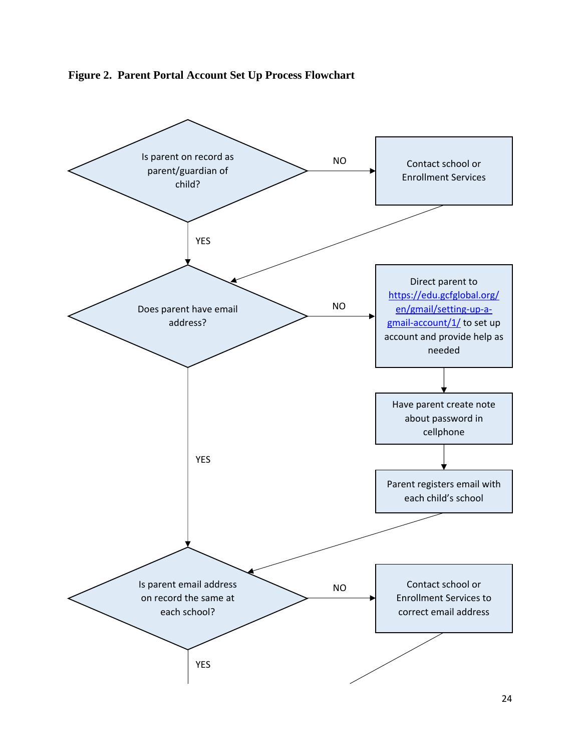

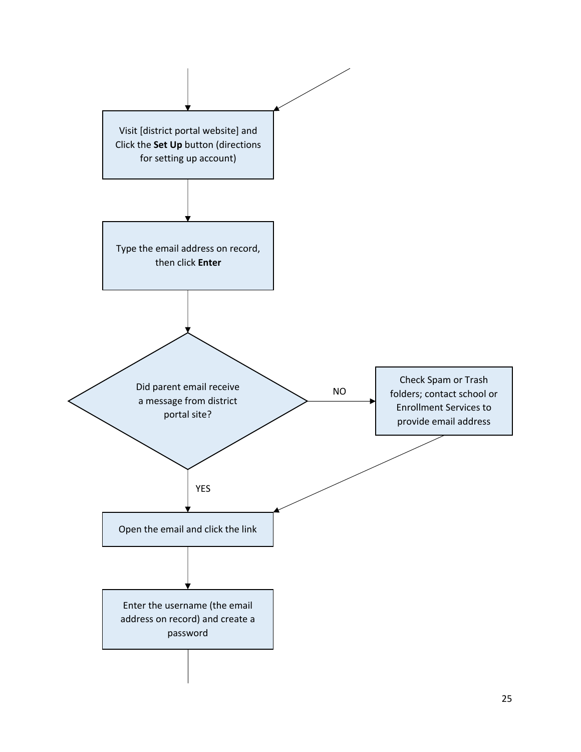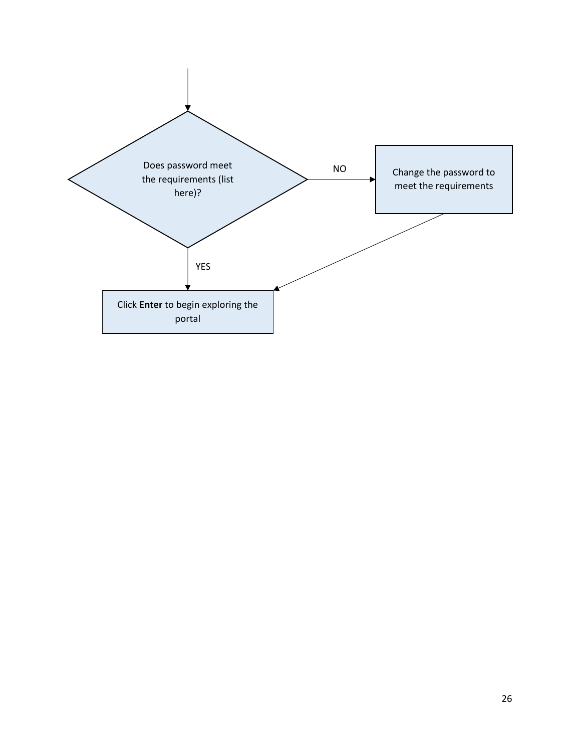